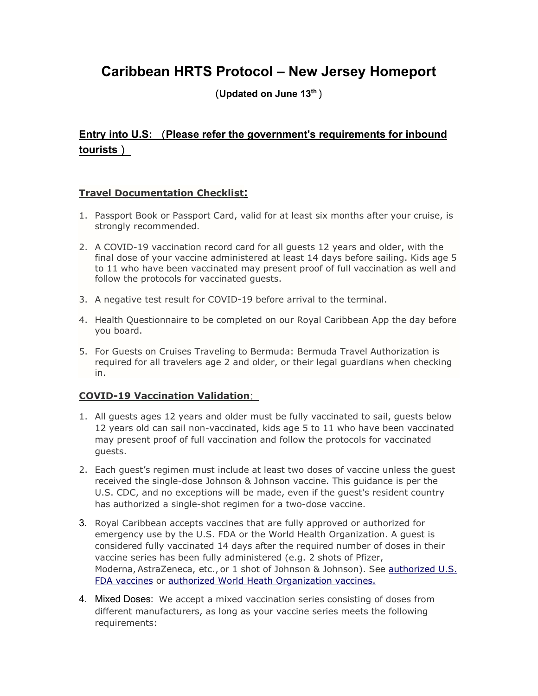# **Caribbean HRTS Protocol – New Jersey Homeport**

(**Updated on June 13th** )

# **Entry into U.S:** (**Please refer the government's requirements for inbound tourists** )

# **Travel Documentation Checklist:**

- 1. Passport Book or Passport Card, valid for at least six months after your cruise, is strongly recommended.
- 2. A COVID-19 vaccination record card for all guests 12 years and older, with the final dose of your vaccine administered at least 14 days before sailing. Kids age 5 to 11 who have been vaccinated may present proof of full vaccination as well and follow the protocols for vaccinated guests.
- 3. A negative test result for COVID-19 before arrival to the terminal.
- 4. Health Questionnaire to be completed on our Royal Caribbean App the day before you board.
- 5. For Guests on Cruises Traveling to Bermuda: Bermuda Travel Authorization is required for all travelers age 2 and older, or their legal guardians when checking in.

# **COVID-19 Vaccination Validation**:

- 1. All guests ages 12 years and older must be fully vaccinated to sail, guests below 12 years old can sail non-vaccinated, kids age 5 to 11 who have been vaccinated may present proof of full vaccination and follow the protocols for vaccinated guests.
- 2. Each guest's regimen must include at least two doses of vaccine unless the guest received the single-dose Johnson & Johnson vaccine. This guidance is per the U.S. CDC, and no exceptions will be made, even if the guest's resident country has authorized a single-shot regimen for a two-dose vaccine.
- 3. Royal Caribbean accepts vaccines that are fully approved or authorized for emergency use by the U.S. FDA or the World Health Organization. A guest is considered fully vaccinated 14 days after the required number of doses in their vaccine series has been fully administered (e.g. 2 shots of Pfizer, Moderna, AstraZeneca, etc., or 1 shot of Johnson & Johnson). See [authorized U.S.](https://www.fda.gov/emergency-preparedness-and-response/coronavirus-disease-2019-covid-19/covid-19-vaccines)  [FDA vaccines](https://www.fda.gov/emergency-preparedness-and-response/coronavirus-disease-2019-covid-19/covid-19-vaccines) or [authorized World Heath Organization vaccines.](https://www.who.int/emergencies/diseases/novel-coronavirus-2019/covid-19-vaccines/advice)
- 4. Mixed Doses: We accept a mixed vaccination series consisting of doses from different manufacturers, as long as your vaccine series meets the following requirements: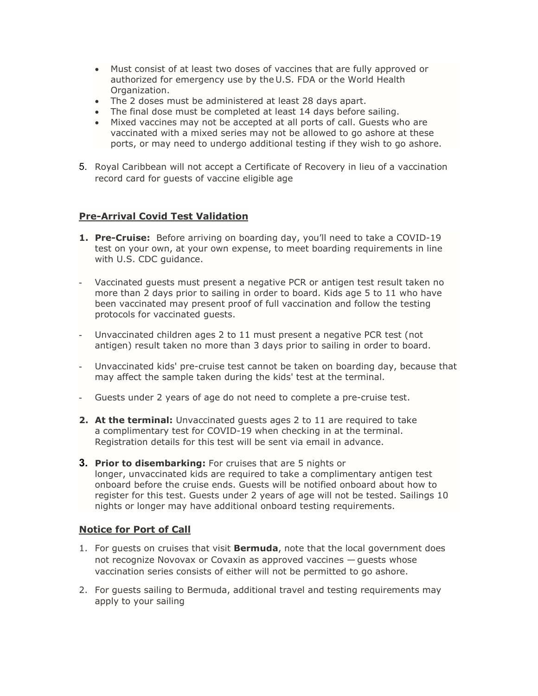- Must consist of at least two doses of vaccines that are fully approved or authorized for emergency use by the U.S. FDA or the World Health Organization.
- The 2 doses must be administered at least 28 days apart.
- The final dose must be completed at least 14 days before sailing.
- Mixed vaccines may not be accepted at all ports of call. Guests who are vaccinated with a mixed series may not be allowed to go ashore at these ports, or may need to undergo additional testing if they wish to go ashore.
- 5. Royal Caribbean will not accept a Certificate of Recovery in lieu of a vaccination record card for guests of vaccine eligible age

### **Pre-Arrival Covid Test Validation**

- **1. Pre-Cruise:** Before arriving on boarding day, you'll need to take a COVID-19 test on your own, at your own expense, to meet boarding requirements in line with U.S. CDC guidance.
- Vaccinated guests must present a negative PCR or antigen test result taken no more than 2 days prior to sailing in order to board. Kids age 5 to 11 who have been vaccinated may present proof of full vaccination and follow the testing protocols for vaccinated guests.
- Unvaccinated children ages 2 to 11 must present a negative PCR test (not antigen) result taken no more than 3 days prior to sailing in order to board.
- Unvaccinated kids' pre-cruise test cannot be taken on boarding day, because that may affect the sample taken during the kids' test at the terminal.
- Guests under 2 years of age do not need to complete a pre-cruise test.
- **2. At the terminal:** Unvaccinated guests ages 2 to 11 are required to take a complimentary test for COVID-19 when checking in at the terminal. Registration details for this test will be sent via email in advance.
- **3. Prior to disembarking:** For cruises that are 5 nights or longer, unvaccinated kids are required to take a complimentary antigen test onboard before the cruise ends. Guests will be notified onboard about how to register for this test. Guests under 2 years of age will not be tested. Sailings 10 nights or longer may have additional onboard testing requirements.

### **Notice for Port of Call**

- 1. For guests on cruises that visit **Bermuda**, note that the local government does not recognize Novovax or Covaxin as approved vaccines — guests whose vaccination series consists of either will not be permitted to go ashore.
- 2. For guests sailing to Bermuda, additional travel and testing requirements may apply to your sailing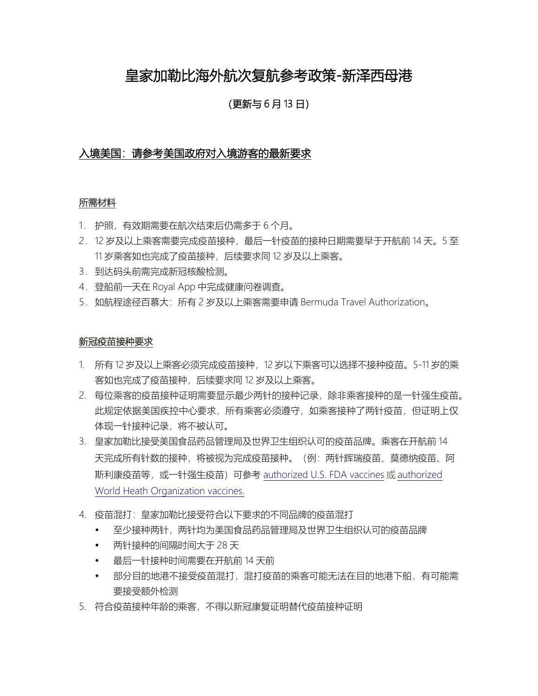# 皇家加勒比海外航次复航参考政策-新泽西母港

(更新与 6 月 13 日)

## 入境美国:请参考美国政府对入境游客的最新要求

#### 所需材料

- 1. 护照,有效期需要在航次结束后仍需多于 6 个月。
- 2. 12 岁及以上乘客需要完成疫苗接种,最后一针疫苗的接种日期需要早于开航前 14 天。5 至 11 岁乘客如也完成了疫苗接种,后续要求同 12 岁及以上乘客。
- 3. 到达码头前需完成新冠核酸检测。
- 4.登船前一天在 Royal App 中完成健康问卷调查。
- 5.如航程途径百慕大:所有 2 岁及以上乘客需要申请 Bermuda Travel Authorization。

#### 新冠疫苗接种要求

- 1. 所有 12 岁及以上乘客必须完成疫苗接种,12 岁以下乘客可以选择不接种疫苗。5-11 岁的乘 客如也完成了疫苗接种,后续要求同 12 岁及以上乘客。
- 2. 每位乘客的疫苗接种证明需要显示最少两针的接种记录,除非乘客接种的是一针强生疫苗。 此规定依据美国疾控中心要求,所有乘客必须遵守,如乘客接种了两针疫苗,但证明上仅 体现一针接种记录,将不被认可。
- 3. 皇家加勒比接受美国食品药品管理局及世界卫生组织认可的疫苗品牌。乘客在开航前 14 天完成所有针数的接种,将被视为完成疫苗接种。(例:两针辉瑞疫苗、莫德纳疫苗、阿 斯利康疫苗等, 或一针强生疫苗)可参考 [authorized U.S. FDA vaccines](https://www.fda.gov/emergency-preparedness-and-response/coronavirus-disease-2019-covid-19/covid-19-vaccines) 或 authorized [World Heath Organization vaccines.](https://www.who.int/emergencies/diseases/novel-coronavirus-2019/covid-19-vaccines/advice)
- 4. 疫苗混打:皇家加勒比接受符合以下要求的不同品牌的疫苗混打
	- 至少接种两针,两针均为美国食品药品管理局及世界卫生组织认可的疫苗品牌
	- 两针接种的间隔时间大于 28 天
	- 最后一针接种时间需要在开航前 14 天前
	- 部分目的地港不接受疫苗混打,混打疫苗的乘客可能无法在目的地港下船,有可能需 要接受额外检测
- 5. 符合疫苗接种年龄的乘客,不得以新冠康复证明替代疫苗接种证明